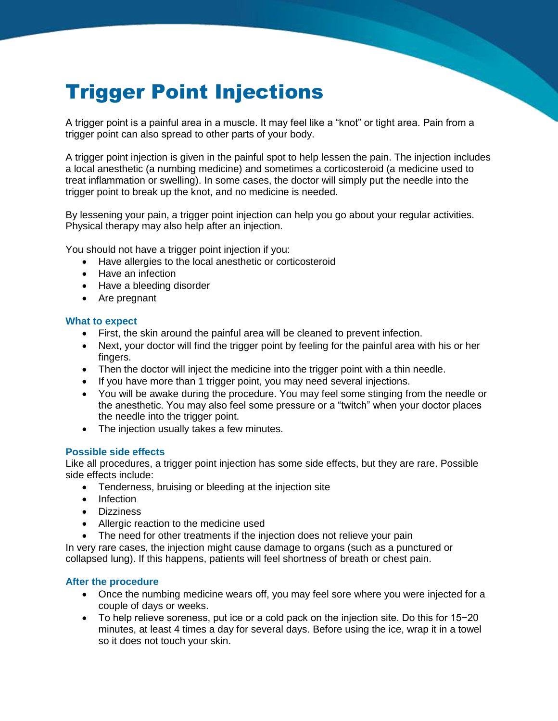# Trigger Point Injections

A trigger point is a painful area in a muscle. It may feel like a "knot" or tight area. Pain from a trigger point can also spread to other parts of your body.

A trigger point injection is given in the painful spot to help lessen the pain. The injection includes a local anesthetic (a numbing medicine) and sometimes a corticosteroid (a medicine used to treat inflammation or swelling). In some cases, the doctor will simply put the needle into the trigger point to break up the knot, and no medicine is needed.

By lessening your pain, a trigger point injection can help you go about your regular activities. Physical therapy may also help after an injection.

You should not have a trigger point injection if you:

- Have allergies to the local anesthetic or corticosteroid
- Have an infection
- Have a bleeding disorder
- Are pregnant

#### **What to expect**

- First, the skin around the painful area will be cleaned to prevent infection.
- Next, your doctor will find the trigger point by feeling for the painful area with his or her fingers.
- Then the doctor will inject the medicine into the trigger point with a thin needle.
- If you have more than 1 trigger point, you may need several injections.
- You will be awake during the procedure. You may feel some stinging from the needle or the anesthetic. You may also feel some pressure or a "twitch" when your doctor places the needle into the trigger point.
- The injection usually takes a few minutes.

#### **Possible side effects**

Like all procedures, a trigger point injection has some side effects, but they are rare. Possible side effects include:

- Tenderness, bruising or bleeding at the injection site
- Infection
- Dizziness
- Allergic reaction to the medicine used
- The need for other treatments if the injection does not relieve your pain

In very rare cases, the injection might cause damage to organs (such as a punctured or collapsed lung). If this happens, patients will feel shortness of breath or chest pain.

### **After the procedure**

- Once the numbing medicine wears off, you may feel sore where you were injected for a couple of days or weeks.
- To help relieve soreness, put ice or a cold pack on the injection site. Do this for 15−20 minutes, at least 4 times a day for several days. Before using the ice, wrap it in a towel so it does not touch your skin.